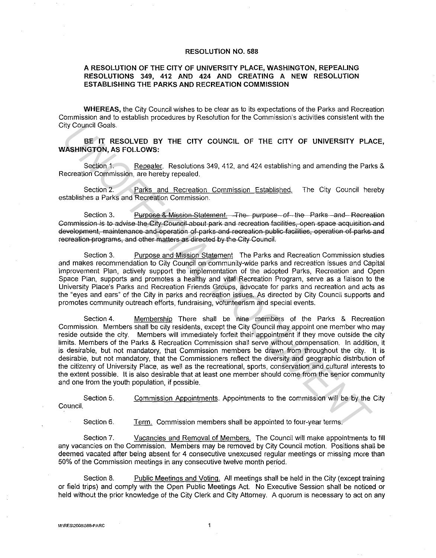## RESOLUTION NO. 588

## A RESOLUTION OF THE CITY OF UNIVERSITY PLACE, WASHINGTON, REPEALING RESOLUTIONS 349, 412 AND 424 AND CREATING A NEW RESOLUTION ESTABLISHING THE PARKS AND RECREATION COMMISSION

WHEREAS, the City Council wishes to be clear as to its expectations of the Parks and Recreation Commission and to establish procedures by Resolution for the Commission's activities consistent with the City Council Goals.

## BE IT RESOLVED BY THE CITY COUNCIL OF THE CITY OF UNIVERSITY PLACE, WASHINGTON, AS FOLLOWS:

Section 1. Repealer. Resolutions 349, 412, and 424 establishing and amending the Parks & Recreation Commission, are hereby repealed.

Section 2. Parks and Recreation Commission Established. The City Council hereby establishes a Parks and Recreation Commission.

Section 3. Purpose & Mission Statement. The purpose of the Parks and Recreation Commission is te advise the Cit)' Council about park and recreation facilities, open space acquisition and development, maintenance and operation of parks and recreation public facilities, operation of parks and recreation programs, and other mailers as directed by the City Council.

Section 3. Purpose and Mission Statement The Parks and Recreation Commission studies and makes recommendation to City Council on community-wide parks and recreation issues and Capital Improvement Plan, actively support the implementation of the adopted Parks, Recreation and Open Space Plan, supports and promotes a healthy and vital Recreation Program, serve as a liaison to the University Place's Parks and Recreation Friends Groups, advocate for parks and recreation and acts as the "eyes and ears" of the City in parks and recreation issues. As directed by City Council supports and promotes community outreach efforts, fundraising, volunteerism and special events.

Section 4. Membership There shall be nine members of the Parks & Recreation Commission. Members shall be city residents, except the City Council may appoint one member who may reside outside the city. Members will immediately forfeit their appointment if they move outside the city limits. Members of the Parks & Recreation Commission shall serve without compensation. In addition, it is desirable, but not mandatory, that Commission members be drawn from throughout the city. It is desirable, but not mandatory, that the Commissioners reflect the diversity and geographic distribution of the citizenry of University Place, as well as the recreational, sports, conservation and cultural interests to the extent possible. It is also desirable that at least one member should come from the senior community and one from the youth population, if possible. For Council Goals.<br>
WASHINGTON, AS FOLLOWS:<br>
WASHINGTON, AS FOLLOWS:<br>
Secient 1. Regardler, Resolutions 349, 412, and 424 establishing and amending the Pari<br>
Recreation Commission, are hereby repeated.<br>
Secion 2. Pariss an

Section 5. Commission Appointments. Appointments to the commission will be by the City Council.

Section 6. Term. Commission members shall be appointed to four-year terms.

Section 7. Vacancies and Removal of Members. The Council will make appointments to fill any vacancies on the Commission. Members may be removed by City Council motion. Positions shall be deemed vacated after being absent for 4 consecutive unexcused regular meetings or missing more than 50% of the Commission meetings in any consecutive twelve month period.

Section 8. Public Meetings and Voting. All meetings shall be held in the City (except training or field trips) and comply with the Open Public Meetings Act. No Executive Session shall be noticed or held without the prior knowledge of the City Clerk and City Attorney. A quorum is necessary to act on any

 $\mathbf{1}$